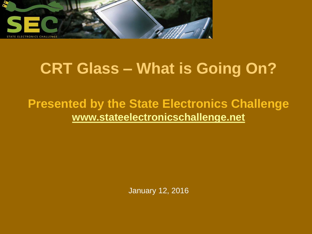

## **CRT Glass – What is Going On?**

#### **Presented by the State Electronics Challenge [www.stateelectronicschallenge.net](http://www.stateelectronicschallenge.net/)**

January 12, 2016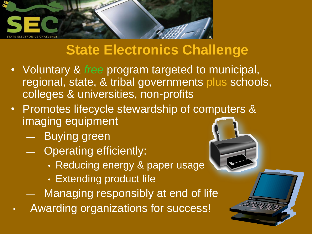

### **State Electronics Challenge**

- Voluntary & *free* program targeted to municipal, regional, state, & tribal governments plus schools, colleges & universities, non-profits
- Promotes lifecycle stewardship of computers & imaging equipment
	- Buying green
	- Operating efficiently:
		- Reducing energy & paper usage
		- Extending product life
	- Managing responsibly at end of life
- Awarding organizations for success!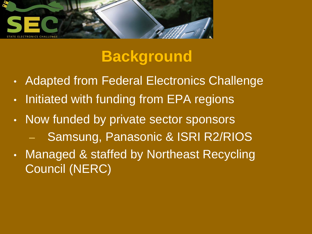

## **Background**

- Adapted from Federal Electronics Challenge
- Initiated with funding from EPA regions
- Now funded by private sector sponsors – Samsung, Panasonic & ISRI R2/RIOS
- Managed & staffed by Northeast Recycling Council (NERC)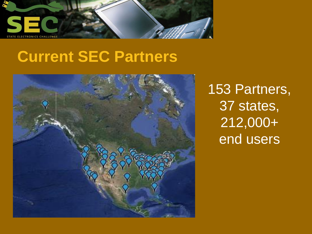

# **Current SEC Partners**



153 Partners, 37 states, 212,000+ end users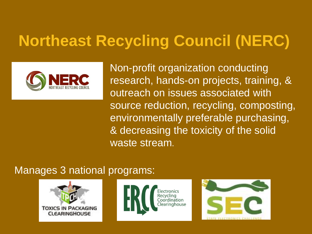# **Northeast Recycling Council (NERC)**



 Non-profit organization conducting research, hands-on projects, training, & outreach on issues associated with source reduction, recycling, composting, environmentally preferable purchasing, & decreasing the toxicity of the solid waste stream.

#### Manages 3 national programs:

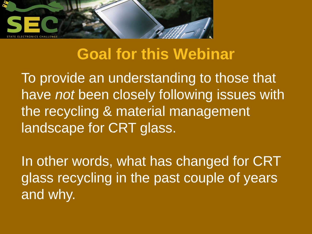

### **Goal for this Webinar**

To provide an understanding to those that have *not* been closely following issues with the recycling & material management landscape for CRT glass.

In other words, what has changed for CRT glass recycling in the past couple of years and why.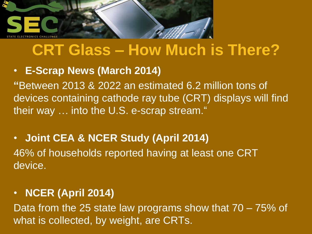

### **CRT Glass – How Much is There?**

#### • **E-Scrap News (March 2014)**

**"**Between 2013 & 2022 an estimated 6.2 million tons of devices containing cathode ray tube (CRT) displays will find their way … into the U.S. e-scrap stream."

#### • **Joint CEA & NCER Study (April 2014)** 46% of households reported having at least one CRT device.

#### • **NCER (April 2014)**

Data from the 25 state law programs show that 70 – 75% of what is collected, by weight, are CRTs.